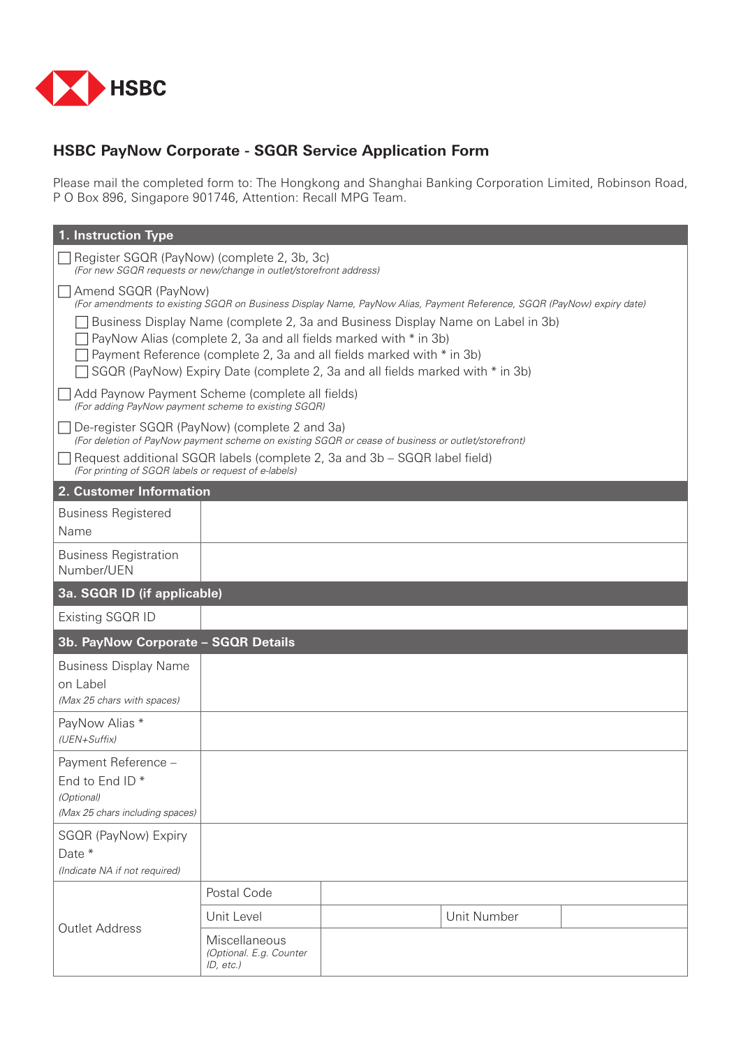

# **HSBC PayNow Corporate - SGQR Service Application Form**

Please mail the completed form to: The Hongkong and Shanghai Banking Corporation Limited, Robinson Road, P O Box 896, Singapore 901746, Attention: Recall MPG Team.

| 1. Instruction Type                                                                                                                                                                                                                                                                                                                                                                                                                                            |                                                          |  |             |  |  |  |  |
|----------------------------------------------------------------------------------------------------------------------------------------------------------------------------------------------------------------------------------------------------------------------------------------------------------------------------------------------------------------------------------------------------------------------------------------------------------------|----------------------------------------------------------|--|-------------|--|--|--|--|
| Register SGQR (PayNow) (complete 2, 3b, 3c)<br>(For new SGQR requests or new/change in outlet/storefront address)                                                                                                                                                                                                                                                                                                                                              |                                                          |  |             |  |  |  |  |
| Amend SGQR (PayNow)<br>(For amendments to existing SGQR on Business Display Name, PayNow Alias, Payment Reference, SGQR (PayNow) expiry date)<br>Business Display Name (complete 2, 3a and Business Display Name on Label in 3b)<br>PayNow Alias (complete 2, 3a and all fields marked with * in 3b)<br>Payment Reference (complete 2, 3a and all fields marked with * in 3b)<br>SGQR (PayNow) Expiry Date (complete 2, 3a and all fields marked with * in 3b) |                                                          |  |             |  |  |  |  |
| Add Paynow Payment Scheme (complete all fields)<br>(For adding PayNow payment scheme to existing SGOR)                                                                                                                                                                                                                                                                                                                                                         |                                                          |  |             |  |  |  |  |
| De-register SGQR (PayNow) (complete 2 and 3a)<br>(For deletion of PayNow payment scheme on existing SGQR or cease of business or outlet/storefront)                                                                                                                                                                                                                                                                                                            |                                                          |  |             |  |  |  |  |
| Request additional SGQR labels (complete 2, 3a and 3b - SGQR label field)<br>(For printing of SGQR labels or request of e-labels)                                                                                                                                                                                                                                                                                                                              |                                                          |  |             |  |  |  |  |
| 2. Customer Information                                                                                                                                                                                                                                                                                                                                                                                                                                        |                                                          |  |             |  |  |  |  |
| <b>Business Registered</b><br>Name                                                                                                                                                                                                                                                                                                                                                                                                                             |                                                          |  |             |  |  |  |  |
| <b>Business Registration</b><br>Number/UEN                                                                                                                                                                                                                                                                                                                                                                                                                     |                                                          |  |             |  |  |  |  |
| 3a. SGQR ID (if applicable)                                                                                                                                                                                                                                                                                                                                                                                                                                    |                                                          |  |             |  |  |  |  |
| Existing SGQR ID                                                                                                                                                                                                                                                                                                                                                                                                                                               |                                                          |  |             |  |  |  |  |
| 3b. PayNow Corporate - SGQR Details                                                                                                                                                                                                                                                                                                                                                                                                                            |                                                          |  |             |  |  |  |  |
| <b>Business Display Name</b><br>on Label<br>(Max 25 chars with spaces)                                                                                                                                                                                                                                                                                                                                                                                         |                                                          |  |             |  |  |  |  |
| PayNow Alias *<br>(UEN+Suffix)                                                                                                                                                                                                                                                                                                                                                                                                                                 |                                                          |  |             |  |  |  |  |
| Payment Reference -<br>End to End ID*<br>(Optional)<br>(Max 25 chars including spaces)                                                                                                                                                                                                                                                                                                                                                                         |                                                          |  |             |  |  |  |  |
| SGQR (PayNow) Expiry                                                                                                                                                                                                                                                                                                                                                                                                                                           |                                                          |  |             |  |  |  |  |
| Date *                                                                                                                                                                                                                                                                                                                                                                                                                                                         |                                                          |  |             |  |  |  |  |
| (Indicate NA if not required)                                                                                                                                                                                                                                                                                                                                                                                                                                  |                                                          |  |             |  |  |  |  |
| <b>Outlet Address</b>                                                                                                                                                                                                                                                                                                                                                                                                                                          | Postal Code                                              |  |             |  |  |  |  |
|                                                                                                                                                                                                                                                                                                                                                                                                                                                                | Unit Level                                               |  | Unit Number |  |  |  |  |
|                                                                                                                                                                                                                                                                                                                                                                                                                                                                | Miscellaneous<br>(Optional. E.g. Counter<br>$ID, etc.$ ) |  |             |  |  |  |  |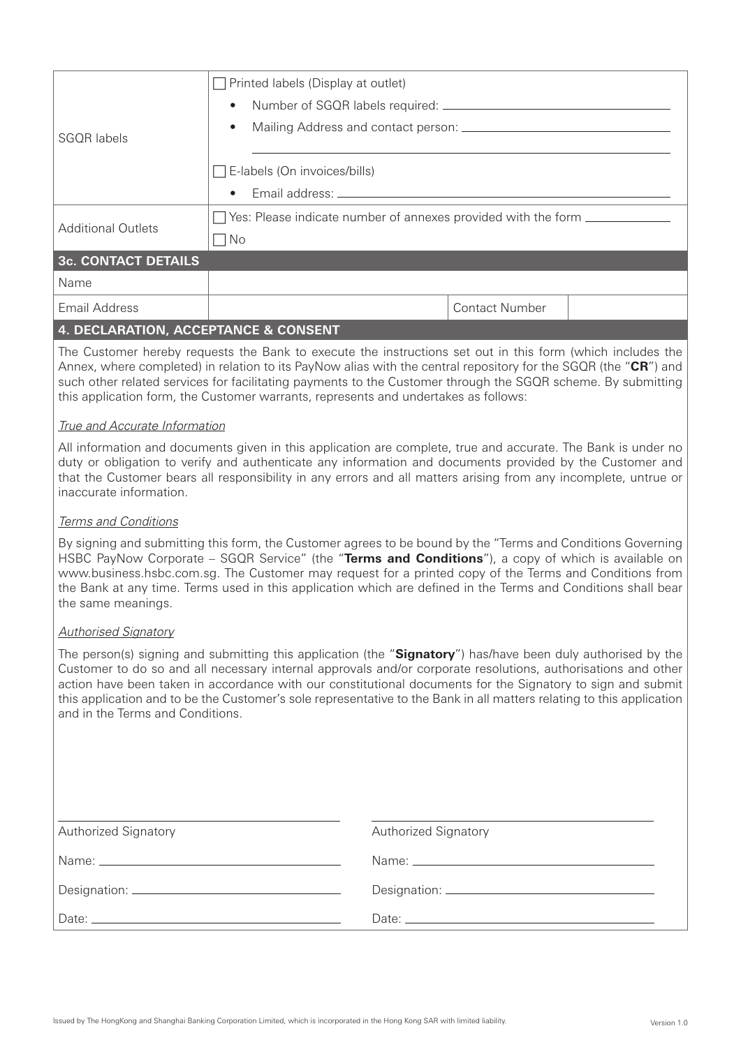| <b>SGOR</b> labels         | $\Box$ Printed labels (Display at outlet)<br>$\bullet$                                                                                                                                                                                                                |  |  |  |
|----------------------------|-----------------------------------------------------------------------------------------------------------------------------------------------------------------------------------------------------------------------------------------------------------------------|--|--|--|
|                            | $\bullet$                                                                                                                                                                                                                                                             |  |  |  |
|                            | $\Box$ E-labels (On invoices/bills)<br>• Email address: entrance and a series of the series of the series of the series of the series of the series of the series of the series of the series of the series of the series of the series of the series of the series o |  |  |  |
| <b>Additional Outlets</b>  | $\Box$ Yes: Please indicate number of annexes provided with the form $\Box$<br>$\Box$ No                                                                                                                                                                              |  |  |  |
| <b>3c. CONTACT DETAILS</b> |                                                                                                                                                                                                                                                                       |  |  |  |
| Name                       |                                                                                                                                                                                                                                                                       |  |  |  |
| Email Address              | <b>Contact Number</b>                                                                                                                                                                                                                                                 |  |  |  |

## **4. DECLARATION, ACCEPTANCE & CONSENT**

The Customer hereby requests the Bank to execute the instructions set out in this form (which includes the Annex, where completed) in relation to its PayNow alias with the central repository for the SGQR (the "**CR**") and such other related services for facilitating payments to the Customer through the SGQR scheme. By submitting this application form, the Customer warrants, represents and undertakes as follows:

#### *True and Accurate Information*

All information and documents given in this application are complete, true and accurate. The Bank is under no duty or obligation to verify and authenticate any information and documents provided by the Customer and that the Customer bears all responsibility in any errors and all matters arising from any incomplete, untrue or inaccurate information.

#### *Terms and Conditions*

By signing and submitting this form, the Customer agrees to be bound by the "Terms and Conditions Governing HSBC PayNow Corporate – SGQR Service" (the "**Terms and Conditions**"), a copy of which is available on www.business.hsbc.com.sg. The Customer may request for a printed copy of the Terms and Conditions from the Bank at any time. Terms used in this application which are defined in the Terms and Conditions shall bear the same meanings.

### *Authorised Signatory*

The person(s) signing and submitting this application (the "**Signatory**") has/have been duly authorised by the Customer to do so and all necessary internal approvals and/or corporate resolutions, authorisations and other action have been taken in accordance with our constitutional documents for the Signatory to sign and submit this application and to be the Customer's sole representative to the Bank in all matters relating to this application and in the Terms and Conditions.

| <b>Authorized Signatory</b> | <b>Authorized Signatory</b> |
|-----------------------------|-----------------------------|
|                             |                             |
|                             |                             |
|                             |                             |